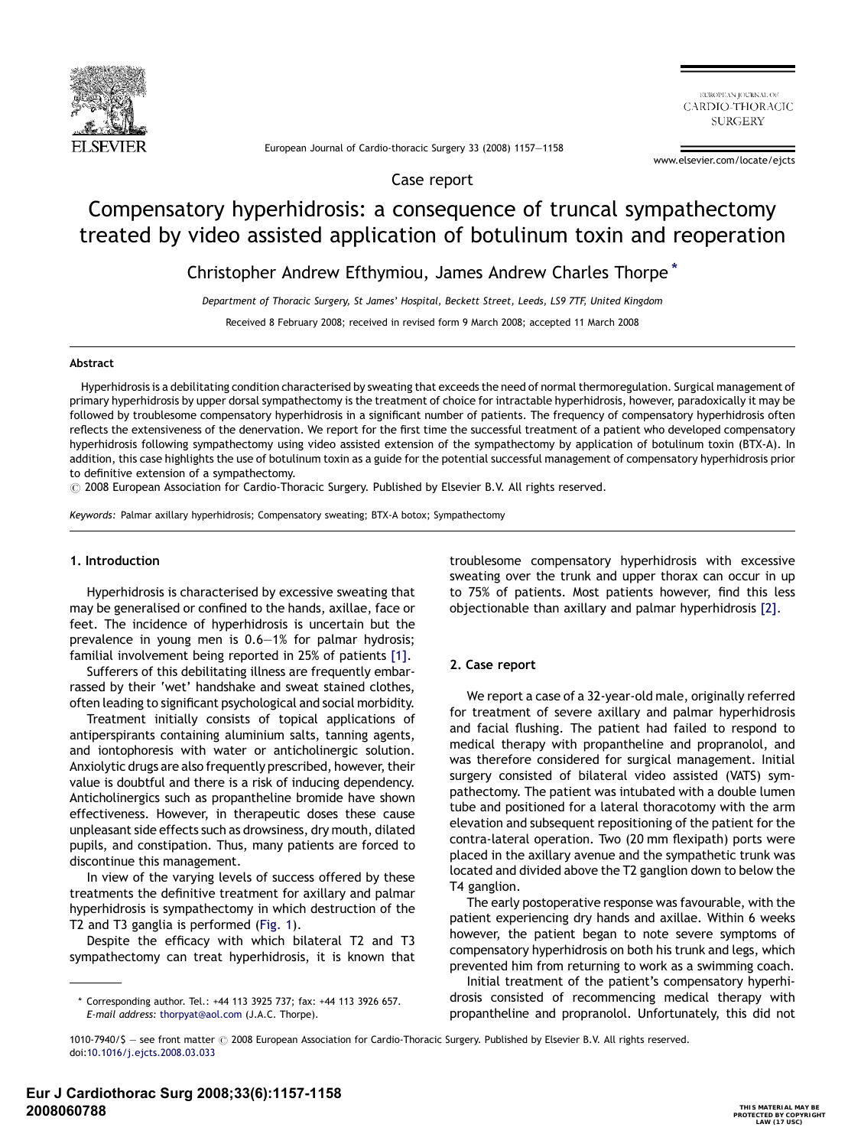

EUROPEAN IOURNAL OF CARDIO-THORACIC **SURGERY** 

European Journal of Cardio-thoracic Surgery 33 (2008) 1157—1158

www.elsevier.com/locate/ejcts

Case report

# Compensatory hyperhidrosis: a consequence of truncal sympathectomy treated by video assisted application of botulinum toxin and reoperation

Christopher Andrew Efthymiou, James Andrew Charles Thorpe \*

Department of Thoracic Surgery, St James' Hospital, Beckett Street, Leeds, LS9 7TF, United Kingdom

Received 8 February 2008; received in revised form 9 March 2008; accepted 11 March 2008

## Abstract

Hyperhidrosis is a debilitating condition characterised by sweating that exceeds the need of normal thermoregulation. Surgical management of primary hyperhidrosis by upper dorsal sympathectomy is the treatment of choice for intractable hyperhidrosis, however, paradoxically it may be followed by troublesome compensatory hyperhidrosis in a significant number of patients. The frequency of compensatory hyperhidrosis often reflects the extensiveness of the denervation. We report for the first time the successful treatment of a patient who developed compensatory hyperhidrosis following sympathectomy using video assisted extension of the sympathectomy by application of botulinum toxin (BTX-A). In addition, this case highlights the use of botulinum toxin as a guide for the potential successful management of compensatory hyperhidrosis prior to definitive extension of a sympathectomy.

 $\odot$  2008 European Association for Cardio-Thoracic Surgery. Published by Elsevier B.V. All rights reserved.

Keywords: Palmar axillary hyperhidrosis; Compensatory sweating; BTX-A botox; Sympathectomy

#### 1. Introduction

Hyperhidrosis is characterised by excessive sweating that may be generalised or confined to the hands, axillae, face or feet. The incidence of hyperhidrosis is uncertain but the prevalence in young men is 0.6—1% for palmar hydrosis; familial involvement being reported in 25% of patients [\[1\].](#page-1-0)

Sufferers of this debilitating illness are frequently embarrassed by their 'wet' handshake and sweat stained clothes, often leading to significant psychological and social morbidity.

Treatment initially consists of topical applications of antiperspirants containing aluminium salts, tanning agents, and iontophoresis with water or anticholinergic solution. Anxiolytic drugs are also frequently prescribed, however, their value is doubtful and there is a risk of inducing dependency. Anticholinergics such as propantheline bromide have shown effectiveness. However, in therapeutic doses these cause unpleasant side effects such as drowsiness, dry mouth, dilated pupils, and constipation. Thus, many patients are forced to discontinue this management.

In view of the varying levels of success offered by these treatments the definitive treatment for axillary and palmar hyperhidrosis is sympathectomy in which destruction of the T2 and T3 ganglia is performed ([Fig. 1](#page-1-0)).

Despite the efficacy with which bilateral T2 and T3 sympathectomy can treat hyperhidrosis, it is known that troublesome compensatory hyperhidrosis with excessive sweating over the trunk and upper thorax can occur in up to 75% of patients. Most patients however, find this less objectionable than axillary and palmar hyperhidrosis [\[2\].](#page-1-0)

### 2. Case report

We report a case of a 32-year-old male, originally referred for treatment of severe axillary and palmar hyperhidrosis and facial flushing. The patient had failed to respond to medical therapy with propantheline and propranolol, and was therefore considered for surgical management. Initial surgery consisted of bilateral video assisted (VATS) sympathectomy. The patient was intubated with a double lumen tube and positioned for a lateral thoracotomy with the arm elevation and subsequent repositioning of the patient for the contra-lateral operation. Two (20 mm flexipath) ports were placed in the axillary avenue and the sympathetic trunk was located and divided above the T2 ganglion down to below the T4 ganglion.

The early postoperative response was favourable, with the patient experiencing dry hands and axillae. Within 6 weeks however, the patient began to note severe symptoms of compensatory hyperhidrosis on both his trunk and legs, which prevented him from returning to work as a swimming coach.

Initial treatment of the patient's compensatory hyperhidrosis consisted of recommencing medical therapy with propantheline and propranolol. Unfortunately, this did not

<sup>\*</sup> Corresponding author. Tel.: +44 113 3925 737; fax: +44 113 3926 657. E-mail address: [thorpyat@aol.com](mailto:thorpyat@aol.com) (J.A.C. Thorpe).

<sup>1010-7940/\$ -</sup> see front matter @ 2008 European Association for Cardio-Thoracic Surgery. Published by Elsevier B.V. All rights reserved. doi[:10.1016/j.ejcts.2008.03.033](http://dx.doi.org/10.1016/j.ejcts.2008.03.033)